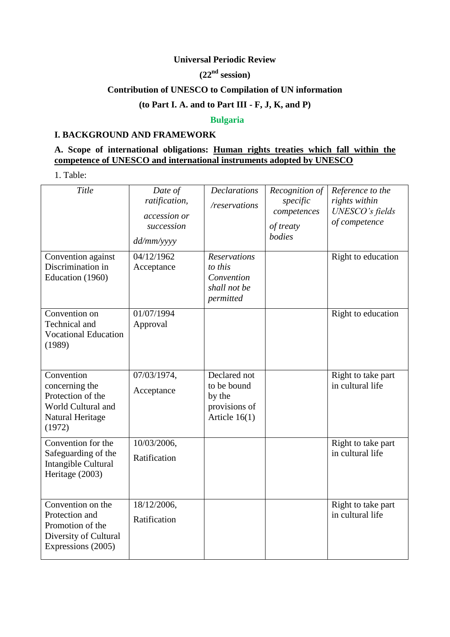### **Universal Periodic Review**

# **(22nd session)**

# **Contribution of UNESCO to Compilation of UN information**

# **(to Part I. A. and to Part III - F, J, K, and P)**

### **Bulgaria**

## **I. BACKGROUND AND FRAMEWORK**

# **A. Scope of international obligations: Human rights treaties which fall within the competence of UNESCO and international instruments adopted by UNESCO**

1. Table:

| Title                                                                                                  | Date of<br>ratification,<br>accession or<br>succession<br>dd/mm/yyyy | <b>Declarations</b><br>/reservations                                      | Recognition of<br>specific<br>competences<br>of treaty<br>bodies | Reference to the<br>rights within<br>UNESCO's fields<br>of competence |
|--------------------------------------------------------------------------------------------------------|----------------------------------------------------------------------|---------------------------------------------------------------------------|------------------------------------------------------------------|-----------------------------------------------------------------------|
| Convention against<br>Discrimination in<br>Education (1960)                                            | 04/12/1962<br>Acceptance                                             | <b>Reservations</b><br>to this<br>Convention<br>shall not be<br>permitted |                                                                  | Right to education                                                    |
| Convention on<br>Technical and<br><b>Vocational Education</b><br>(1989)                                | 01/07/1994<br>Approval                                               |                                                                           |                                                                  | Right to education                                                    |
| Convention<br>concerning the<br>Protection of the<br>World Cultural and<br>Natural Heritage<br>(1972)  | 07/03/1974,<br>Acceptance                                            | Declared not<br>to be bound<br>by the<br>provisions of<br>Article $16(1)$ |                                                                  | Right to take part<br>in cultural life                                |
| Convention for the<br>Safeguarding of the<br>Intangible Cultural<br>Heritage (2003)                    | 10/03/2006,<br>Ratification                                          |                                                                           |                                                                  | Right to take part<br>in cultural life                                |
| Convention on the<br>Protection and<br>Promotion of the<br>Diversity of Cultural<br>Expressions (2005) | 18/12/2006,<br>Ratification                                          |                                                                           |                                                                  | Right to take part<br>in cultural life                                |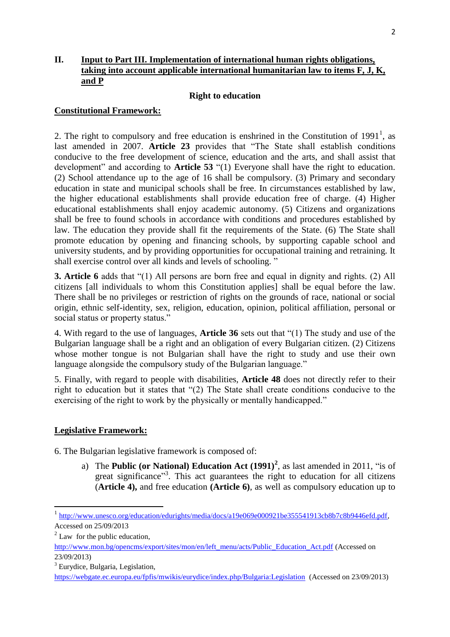### **II. Input to Part III. Implementation of international human rights obligations, taking into account applicable international humanitarian law to items F, J, K, and P**

#### **Right to education**

#### **Constitutional Framework:**

2. The right to compulsory and free education is enshrined in the Constitution of 1991<sup>1</sup>, as last amended in 2007. **Article 23** provides that "The State shall establish conditions conducive to the free development of science, education and the arts, and shall assist that development" and according to **Article 53** "(1) Everyone shall have the right to education. (2) School attendance up to the age of 16 shall be compulsory. (3) Primary and secondary education in state and municipal schools shall be free. In circumstances established by law, the higher educational establishments shall provide education free of charge. (4) Higher educational establishments shall enjoy academic autonomy. (5) Citizens and organizations shall be free to found schools in accordance with conditions and procedures established by law. The education they provide shall fit the requirements of the State. (6) The State shall promote education by opening and financing schools, by supporting capable school and university students, and by providing opportunities for occupational training and retraining. It shall exercise control over all kinds and levels of schooling. "

**3. Article 6** adds that "(1) All persons are born free and equal in dignity and rights. (2) All citizens [all individuals to whom this Constitution applies] shall be equal before the law. There shall be no privileges or restriction of rights on the grounds of race, national or social origin, ethnic self-identity, sex, religion, education, opinion, political affiliation, personal or social status or property status."

4. With regard to the use of languages, **Article 36** sets out that "(1) The study and use of the Bulgarian language shall be a right and an obligation of every Bulgarian citizen. (2) Citizens whose mother tongue is not Bulgarian shall have the right to study and use their own language alongside the compulsory study of the Bulgarian language."

5. Finally, with regard to people with disabilities, **Article 48** does not directly refer to their right to education but it states that "(2) The State shall create conditions conducive to the exercising of the right to work by the physically or mentally handicapped."

#### **Legislative Framework:**

6. The Bulgarian legislative framework is composed of:

a) The **Public (or National) Education Act**  $(1991)^2$ , as last amended in 2011, "is of great significance"<sup>3</sup>. This act guarantees the right to education for all citizens (**Article 4),** and free education **(Article 6)**, as well as compulsory education up to

1

<sup>1</sup> [http://www.unesco.org/education/edurights/media/docs/a19e069e000921be355541913cb8b7c8b9446efd.pdf,](http://www.unesco.org/education/edurights/media/docs/a19e069e000921be355541913cb8b7c8b9446efd.pdf) Accessed on 25/09/2013

 $2$  Law for the public education,

[http://www.mon.bg/opencms/export/sites/mon/en/left\\_menu/acts/Public\\_Education\\_Act.pdf](http://www.mon.bg/opencms/export/sites/mon/en/left_menu/acts/Public_Education_Act.pdf) (Accessed on 23/09/2013)

<sup>3</sup> Eurydice, Bulgaria, Legislation,

<https://webgate.ec.europa.eu/fpfis/mwikis/eurydice/index.php/Bulgaria:Legislation>(Accessed on 23/09/2013)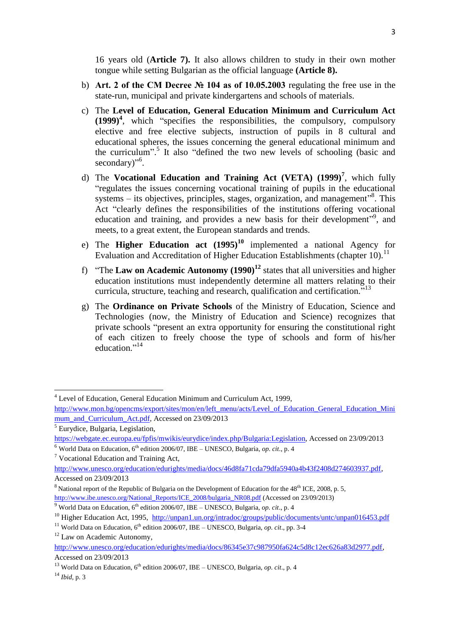16 years old (**Article 7).** It also allows children to study in their own mother tongue while setting Bulgarian as the official language **(Article 8).** 

- b) **Art. 2 of the CM Decree № 104 as of 10.05.2003** regulating the free use in the state-run, municipal and private kindergartens and schools of materials.
- c) The **Level of Education, General Education Minimum and Curriculum Act (1999)<sup>4</sup>** , which "specifies the responsibilities, the compulsory, compulsory elective and free elective subjects, instruction of pupils in 8 cultural and educational spheres, the issues concerning the general educational minimum and the curriculum". 5 It also "defined the two new levels of schooling (basic and secondary)"<sup>6</sup>.
- d) The **Vocational Education and Training Act (VETA) (1999)<sup>7</sup>** , which fully "regulates the issues concerning vocational training of pupils in the educational systems – its objectives, principles, stages, organization, and management<sup>38</sup>. This Act "clearly defines the responsibilities of the institutions offering vocational education and training, and provides a new basis for their development"<sup>9</sup>, and meets, to a great extent, the European standards and trends.
- e) The **Higher Education act (1995)<sup>10</sup>** implemented a national Agency for Evaluation and Accreditation of Higher Education Establishments (chapter 10).<sup>11</sup>
- f) "The **Law on Academic Autonomy (1990)<sup>12</sup>** states that all universities and higher education institutions must independently determine all matters relating to their curricula, structure, teaching and research, qualification and certification."<sup>13</sup>
- g) The **Ordinance on Private Schools** of the Ministry of Education, Science and Technologies (now, the Ministry of Education and Science) recognizes that private schools "present an extra opportunity for ensuring the constitutional right of each citizen to freely choose the type of schools and form of his/her education."<sup>14</sup>

1

<sup>4</sup> Level of Education, General Education Minimum and Curriculum Act, 1999,

[http://www.mon.bg/opencms/export/sites/mon/en/left\\_menu/acts/Level\\_of\\_Education\\_General\\_Education\\_Mini](http://www.mon.bg/opencms/export/sites/mon/en/left_menu/acts/Level_of_Education_General_Education_Minimum_and_Curriculum_Act.pdf) [mum\\_and\\_Curriculum\\_Act.pdf,](http://www.mon.bg/opencms/export/sites/mon/en/left_menu/acts/Level_of_Education_General_Education_Minimum_and_Curriculum_Act.pdf) Accessed on 23/09/2013

<sup>5</sup> Eurydice, Bulgaria, Legislation,

[https://webgate.ec.europa.eu/fpfis/mwikis/eurydice/index.php/Bulgaria:Legislation,](https://webgate.ec.europa.eu/fpfis/mwikis/eurydice/index.php/Bulgaria:Legislation) Accessed on 23/09/2013  $6$  World Data on Education,  $6<sup>th</sup>$  edition 2006/07, IBE – UNESCO, Bulgaria, *op. cit.*, p. 4

<sup>7</sup> Vocational Education and Training Act,

[http://www.unesco.org/education/edurights/media/docs/46d8fa71cda79dfa5940a4b43f2408d274603937.pdf,](http://www.unesco.org/education/edurights/media/docs/46d8fa71cda79dfa5940a4b43f2408d274603937.pdf) Accessed on 23/09/2013

 $8$  National report of the Republic of Bulgaria on the Development of Education for the  $48<sup>th</sup>$  ICE, 2008, p. 5, [http://www.ibe.unesco.org/National\\_Reports/ICE\\_2008/bulgaria\\_NR08.pdf](http://www.ibe.unesco.org/National_Reports/ICE_2008/bulgaria_NR08.pdf) (Accessed on 23/09/2013)

 $9$  World Data on Education,  $6<sup>th</sup>$  edition 2006/07, IBE – UNESCO, Bulgaria, *op. cit.*, p. 4

<sup>&</sup>lt;sup>10</sup> Higher Education Act, 1995, <http://unpan1.un.org/intradoc/groups/public/documents/untc/unpan016453.pdf>

<sup>&</sup>lt;sup>11</sup> World Data on Education,  $6<sup>th</sup>$  edition 2006/07, IBE – UNESCO, Bulgaria, *op. cit.*, pp. 3-4

<sup>&</sup>lt;sup>12</sup> Law on Academic Autonomy,

[http://www.unesco.org/education/edurights/media/docs/86345e37c987950fa624c5d8c12ec626a83d2977.pdf,](http://www.unesco.org/education/edurights/media/docs/86345e37c987950fa624c5d8c12ec626a83d2977.pdf) Accessed on 23/09/2013

<sup>&</sup>lt;sup>13</sup> World Data on Education,  $6^{th}$  edition 2006/07, IBE – UNESCO, Bulgaria, *op. cit.*, p. 4

<sup>14</sup> *Ibid*, p. 3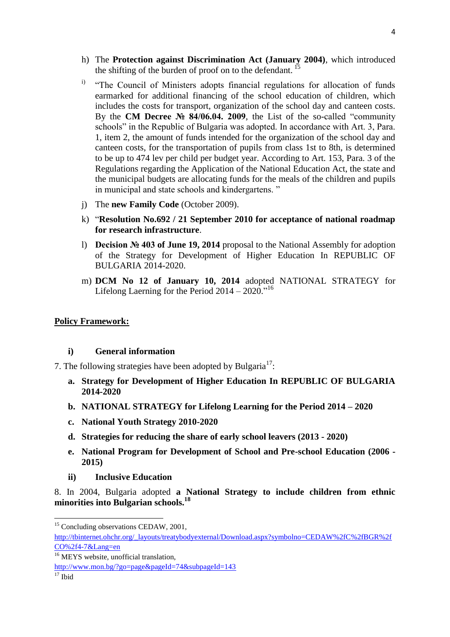- h) The **Protection against Discrimination Act (January 2004)**, which introduced the shifting of the burden of proof on to the defendant.  $15$
- <sup>i)</sup> "The Council of Ministers adopts financial regulations for allocation of funds earmarked for additional financing of the school education of children, which includes the costs for transport, organization of the school day and canteen costs. By the **CM Decree № 84/06.04. 2009**, the List of the so-called "community schools" in the Republic of Bulgaria was adopted. In accordance with Art. 3, Para. 1, item 2, the amount of funds intended for the organization of the school day and canteen costs, for the transportation of pupils from class 1st to 8th, is determined to be up to 474 lev per child per budget year. According to Art. 153, Para. 3 of the Regulations regarding the Application of the National Education Act, the state and the municipal budgets are allocating funds for the meals of the children and pupils in municipal and state schools and kindergartens. "
- j) The **new Family Code** (October 2009).
- k) "**Resolution No.692 / 21 September 2010 for acceptance of national roadmap for research infrastructure**.
- l) **Decision № 403 of June 19, 2014** proposal to the National Assembly for adoption of the Strategy for Development of Higher Education In REPUBLIC OF BULGARIA 2014-2020.
- m) **DCM No 12 of January 10, 2014** adopted NATIONAL STRATEGY for Lifelong Laerning for the Period  $2014 - 2020$ ."<sup>16</sup>

#### **Policy Framework:**

#### **i) General information**

7. The following strategies have been adopted by Bulgaria<sup>17</sup>:

- **a. Strategy for Development of Higher Education In REPUBLIC OF BULGARIA 2014-2020**
- **b. NATIONAL STRATEGY for Lifelong Learning for the Period 2014 – 2020**
- **c. National Youth Strategy 2010-2020**
- **d. Strategies for reducing the share of early school leavers (2013 - 2020)**
- **e. National Program for Development of School and Pre-school Education (2006 - 2015)**
- **ii) Inclusive Education**

8. In 2004, Bulgaria adopted **a National Strategy to include children from ethnic minorities into Bulgarian schools.<sup>18</sup>**

**<sup>.</sup>** <sup>15</sup> Concluding observations CEDAW, 2001,

[http://tbinternet.ohchr.org/\\_layouts/treatybodyexternal/Download.aspx?symbolno=CEDAW%2fC%2fBGR%2f](http://tbinternet.ohchr.org/_layouts/treatybodyexternal/Download.aspx?symbolno=CEDAW%2fC%2fBGR%2fCO%2f4-7&Lang=en) [CO%2f4-7&Lang=en](http://tbinternet.ohchr.org/_layouts/treatybodyexternal/Download.aspx?symbolno=CEDAW%2fC%2fBGR%2fCO%2f4-7&Lang=en)

<sup>&</sup>lt;sup>16</sup> MEYS website, unofficial translation,

<http://www.mon.bg/?go=page&pageId=74&subpageId=143>

 $17$  Ibid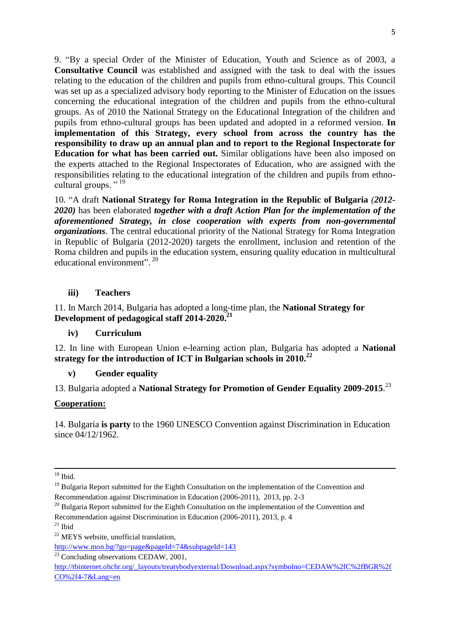9. "By a special Order of the Minister of Education, Youth and Science as of 2003, a **Consultative Council** was established and assigned with the task to deal with the issues relating to the education of the children and pupils from ethno-cultural groups. This Council was set up as a specialized advisory body reporting to the Minister of Education on the issues concerning the educational integration of the children and pupils from the ethno-cultural groups. As of 2010 the National Strategy on the Educational Integration of the children and pupils from ethno-cultural groups has been updated and adopted in a reformed version. **In implementation of this Strategy, every school from across the country has the responsibility to draw up an annual plan and to report to the Regional Inspectorate for Education for what has been carried out.** Similar obligations have been also imposed on the experts attached to the Regional Inspectorates of Education, who are assigned with the responsibilities relating to the educational integration of the children and pupils from ethnocultural groups."<sup>19</sup>

10. "A draft **National Strategy for Roma Integration in the Republic of Bulgaria** *(2012- 2020)* has been elaborated *together with a draft Action Plan for the implementation of the aforementioned Strategy, in close cooperation with experts from non-governmental organizations*. The central educational priority of the National Strategy for Roma Integration in Republic of Bulgaria (2012-2020) targets the enrollment, inclusion and retention of the Roma children and pupils in the education system, ensuring quality education in multicultural educational environment". 20

#### **iii) Teachers**

### 11. In March 2014, Bulgaria has adopted a long-time plan, the **National Strategy for Development of pedagogical staff 2014-2020.<sup>21</sup>**

#### **iv) Curriculum**

12. In line with European Union e-learning action plan, Bulgaria has adopted a **National strategy for the introduction of ICT in Bulgarian schools in 2010.<sup>22</sup>**

#### **v) Gender equality**

# 13. Bulgaria adopted a **National Strategy for Promotion of Gender Equality 2009-2015**. 23

#### **Cooperation:**

14. Bulgaria **is party** to the 1960 UNESCO Convention against Discrimination in Education since 04/12/1962.

- $20$  Bulgaria Report submitted for the Eighth Consultation on the implementation of the Convention and Recommendation against Discrimination in Education (2006-2011), 2013, p. 4
- $21$  Ibid

<sup>1</sup>  $18$  Ibid.

<sup>&</sup>lt;sup>19</sup> Bulgaria Report submitted for the Eighth Consultation on the implementation of the Convention and Recommendation against Discrimination in Education (2006-2011), 2013, pp. 2-3

<sup>&</sup>lt;sup>22</sup> MEYS website, unofficial translation,

<http://www.mon.bg/?go=page&pageId=74&subpageId=143>

 $\frac{23}{23}$  Concluding observations CEDAW, 2001,

[http://tbinternet.ohchr.org/\\_layouts/treatybodyexternal/Download.aspx?symbolno=CEDAW%2fC%2fBGR%2f](http://tbinternet.ohchr.org/_layouts/treatybodyexternal/Download.aspx?symbolno=CEDAW%2fC%2fBGR%2fCO%2f4-7&Lang=en) [CO%2f4-7&Lang=en](http://tbinternet.ohchr.org/_layouts/treatybodyexternal/Download.aspx?symbolno=CEDAW%2fC%2fBGR%2fCO%2f4-7&Lang=en)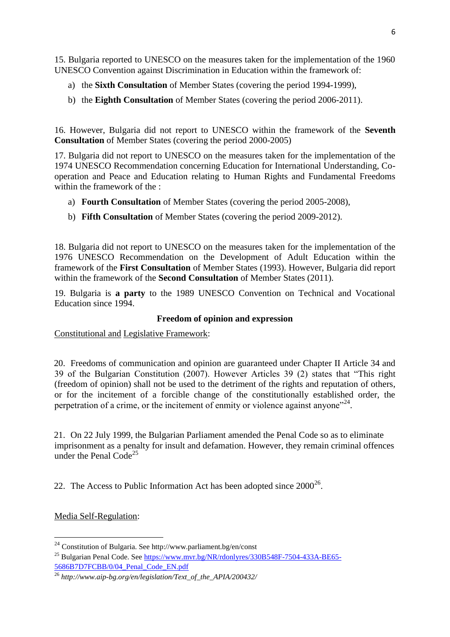15. Bulgaria reported to UNESCO on the measures taken for the implementation of the 1960 UNESCO Convention against Discrimination in Education within the framework of:

- a) the **Sixth Consultation** of Member States (covering the period 1994-1999),
- b) the **Eighth Consultation** of Member States (covering the period 2006-2011).

16. However, Bulgaria did not report to UNESCO within the framework of the **Seventh Consultation** of Member States (covering the period 2000-2005)

17. Bulgaria did not report to UNESCO on the measures taken for the implementation of the 1974 UNESCO Recommendation concerning Education for International Understanding, Cooperation and Peace and Education relating to Human Rights and Fundamental Freedoms within the framework of the :

- a) **Fourth Consultation** of Member States (covering the period 2005-2008),
- b) **Fifth Consultation** of Member States (covering the period 2009-2012).

18. Bulgaria did not report to UNESCO on the measures taken for the implementation of the 1976 UNESCO Recommendation on the Development of Adult Education within the framework of the **First Consultation** of Member States (1993). However, Bulgaria did report within the framework of the **Second Consultation** of Member States (2011).

19. Bulgaria is **a party** to the 1989 UNESCO Convention on Technical and Vocational Education since 1994.

## **Freedom of opinion and expression**

Constitutional and Legislative Framework:

20. Freedoms of communication and opinion are guaranteed under Chapter II Article 34 and 39 of the Bulgarian Constitution (2007). However Articles 39 (2) states that "This right (freedom of opinion) shall not be used to the detriment of the rights and reputation of others, or for the incitement of a forcible change of the constitutionally established order, the perpetration of a crime, or the incitement of enmity or violence against anyone"<sup>24</sup>.

21. On 22 July 1999, the Bulgarian Parliament amended the Penal Code so as to eliminate imprisonment as a penalty for insult and defamation. However, they remain criminal offences under the Penal Code<sup>25</sup>

22. The Access to Public Information Act has been adopted since  $2000^{26}$ .

Media Self-Regulation:

1

<sup>&</sup>lt;sup>24</sup> Constitution of Bulgaria. See http://www.parliament.bg/en/const

<sup>25</sup> Bulgarian Penal Code. Se[e https://www.mvr.bg/NR/rdonlyres/330B548F-7504-433A-BE65-](https://www.mvr.bg/NR/rdonlyres/330B548F-7504-433A-BE65-5686B7D7FCBB/0/04_Penal_Code_EN.pdf) [5686B7D7FCBB/0/04\\_Penal\\_Code\\_EN.pdf](https://www.mvr.bg/NR/rdonlyres/330B548F-7504-433A-BE65-5686B7D7FCBB/0/04_Penal_Code_EN.pdf)

<sup>26</sup> *http://www.aip-bg.org/en/legislation/Text\_of\_the\_APIA/200432/*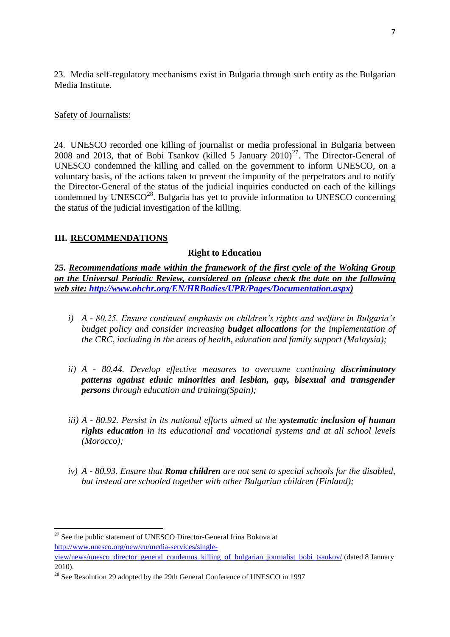23. Media self-regulatory mechanisms exist in Bulgaria through such entity as the Bulgarian Media Institute.

### Safety of Journalists:

24. UNESCO recorded one killing of journalist or media professional in Bulgaria between 2008 and 2013, that of Bobi Tsankov (killed 5 January  $2010)^{27}$ . The Director-General of UNESCO condemned the killing and called on the government to inform UNESCO, on a voluntary basis, of the actions taken to prevent the impunity of the perpetrators and to notify the Director-General of the status of the judicial inquiries conducted on each of the killings condemned by  $UNESCO^{28}$ . Bulgaria has yet to provide information to UNESCO concerning the status of the judicial investigation of the killing.

## **III. RECOMMENDATIONS**

#### **Right to Education**

**25.** *Recommendations made within the framework of the first cycle of the Woking Group on the Universal Periodic Review, considered on (please check the date on the following web site: [http://www.ohchr.org/EN/HRBodies/UPR/Pages/Documentation.aspx\)](http://www.ohchr.org/EN/HRBodies/UPR/Pages/Documentation.aspx)*

- *i) A - 80.25. Ensure continued emphasis on children's rights and welfare in Bulgaria's budget policy and consider increasing budget allocations for the implementation of the CRC, including in the areas of health, education and family support (Malaysia);*
- *ii) A - 80.44. Develop effective measures to overcome continuing discriminatory patterns against ethnic minorities and lesbian, gay, bisexual and transgender persons through education and training(Spain);*
- *iii) A - 80.92. Persist in its national efforts aimed at the systematic inclusion of human rights education in its educational and vocational systems and at all school levels (Morocco);*
- *iv) A - 80.93. Ensure that Roma children are not sent to special schools for the disabled, but instead are schooled together with other Bulgarian children (Finland);*

**<sup>.</sup>**  $27$  See the public statement of UNESCO Director-General Irina Bokova at [http://www.unesco.org/new/en/media-services/single-](http://www.unesco.org/new/en/media-services/single-view/news/unesco_director_general_condemns_killing_of_bulgarian_journalist_bobi_tsankov/)

[view/news/unesco\\_director\\_general\\_condemns\\_killing\\_of\\_bulgarian\\_journalist\\_bobi\\_tsankov/](http://www.unesco.org/new/en/media-services/single-view/news/unesco_director_general_condemns_killing_of_bulgarian_journalist_bobi_tsankov/) (dated 8 January 2010).

<sup>&</sup>lt;sup>28</sup> See Resolution 29 adopted by the 29th General Conference of UNESCO in 1997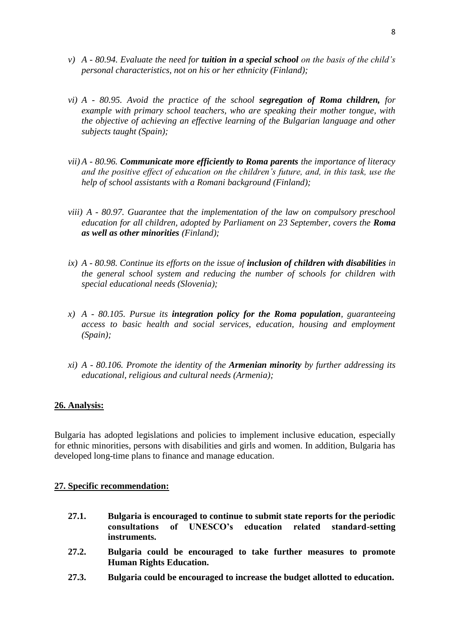- *v) A - 80.94. Evaluate the need for tuition in a special school on the basis of the child's personal characteristics, not on his or her ethnicity (Finland);*
- *vi) A - 80.95. Avoid the practice of the school segregation of Roma children, for example with primary school teachers, who are speaking their mother tongue, with the objective of achieving an effective learning of the Bulgarian language and other subjects taught (Spain);*
- *vii) A - 80.96. Communicate more efficiently to Roma parents the importance of literacy and the positive effect of education on the children's future, and, in this task, use the help of school assistants with a Romani background (Finland);*
- *viii) A - 80.97. Guarantee that the implementation of the law on compulsory preschool education for all children, adopted by Parliament on 23 September, covers the Roma as well as other minorities (Finland);*
- *ix) A - 80.98. Continue its efforts on the issue of inclusion of children with disabilities in the general school system and reducing the number of schools for children with special educational needs (Slovenia);*
- *x) A - 80.105. Pursue its integration policy for the Roma population, guaranteeing access to basic health and social services, education, housing and employment (Spain);*
- *xi) A - 80.106. Promote the identity of the Armenian minority by further addressing its educational, religious and cultural needs (Armenia);*

#### **26. Analysis:**

Bulgaria has adopted legislations and policies to implement inclusive education, especially for ethnic minorities, persons with disabilities and girls and women. In addition, Bulgaria has developed long-time plans to finance and manage education.

#### **27. Specific recommendation:**

- **27.1. Bulgaria is encouraged to continue to submit state reports for the periodic consultations of UNESCO's education related standard-setting instruments.**
- **27.2. Bulgaria could be encouraged to take further measures to promote Human Rights Education.**
- **27.3. Bulgaria could be encouraged to increase the budget allotted to education.**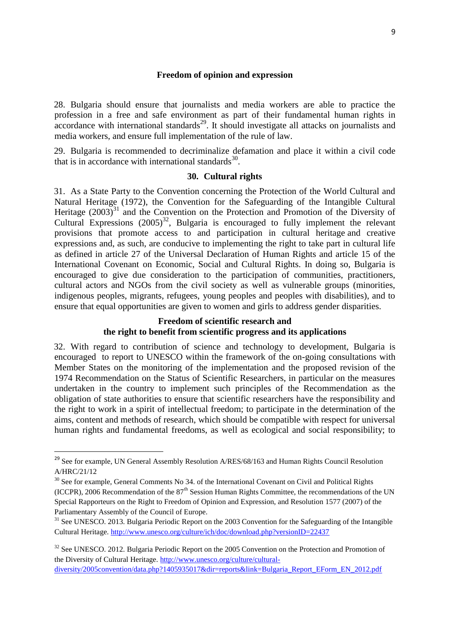#### **Freedom of opinion and expression**

28. Bulgaria should ensure that journalists and media workers are able to practice the profession in a free and safe environment as part of their fundamental human rights in accordance with international standards<sup>29</sup>. It should investigate all attacks on journalists and media workers, and ensure full implementation of the rule of law.

29. Bulgaria is recommended to decriminalize defamation and place it within a civil code that is in accordance with international standards<sup>30</sup>.

#### **30. Cultural rights**

31. As a State Party to the Convention concerning the Protection of the World Cultural and Natural Heritage (1972), the Convention for the Safeguarding of the Intangible Cultural Heritage  $(2003)^{31}$  and the Convention on the Protection and Promotion of the Diversity of Cultural Expressions  $(2005)^{32}$ , Bulgaria is encouraged to fully implement the relevant provisions that promote access to and participation in cultural heritage and creative expressions and, as such, are conducive to implementing the right to take part in cultural life as defined in article 27 of the Universal Declaration of Human Rights and article 15 of the International Covenant on Economic, Social and Cultural Rights. In doing so, Bulgaria is encouraged to give due consideration to the participation of communities, practitioners, cultural actors and NGOs from the civil society as well as vulnerable groups (minorities, indigenous peoples, migrants, refugees, young peoples and peoples with disabilities), and to ensure that equal opportunities are given to women and girls to address gender disparities.

### **Freedom of scientific research and the right to benefit from scientific progress and its applications**

32. With regard to contribution of science and technology to development, Bulgaria is encouraged to report to UNESCO within the framework of the on-going consultations with Member States on the monitoring of the implementation and the proposed revision of the 1974 Recommendation on the Status of Scientific Researchers, in particular on the measures undertaken in the country to implement such principles of the Recommendation as the obligation of state authorities to ensure that scientific researchers have the responsibility and the right to work in a spirit of intellectual freedom; to participate in the determination of the aims, content and methods of research, which should be compatible with respect for universal human rights and fundamental freedoms, as well as ecological and social responsibility; to

**.** 

<sup>&</sup>lt;sup>29</sup> See for example, UN General Assembly Resolution A/RES/68/163 and Human Rights Council Resolution A/HRC/21/12

<sup>&</sup>lt;sup>30</sup> See for example, General Comments No 34. of the International Covenant on Civil and Political Rights (ICCPR), 2006 Recommendation of the  $87<sup>th</sup>$  Session Human Rights Committee, the recommendations of the UN Special Rapporteurs on the Right to Freedom of Opinion and Expression, and Resolution 1577 (2007) of the Parliamentary Assembly of the Council of Europe.

<sup>&</sup>lt;sup>31</sup> See UNESCO. 2013. Bulgaria Periodic Report on the 2003 Convention for the Safeguarding of the Intangible Cultural Heritage[. http://www.unesco.org/culture/ich/doc/download.php?versionID=22437](http://www.unesco.org/culture/ich/doc/download.php?versionID=22437)

<sup>&</sup>lt;sup>32</sup> See UNESCO. 2012. Bulgaria Periodic Report on the 2005 Convention on the Protection and Promotion of the Diversity of Cultural Heritage. [http://www.unesco.org/culture/cultural](http://www.unesco.org/culture/cultural-diversity/2005convention/data.php?1405935017&dir=reports&link=Bulgaria_Report_EForm_EN_2012.pdf)[diversity/2005convention/data.php?1405935017&dir=reports&link=Bulgaria\\_Report\\_EForm\\_EN\\_2012.pdf](http://www.unesco.org/culture/cultural-diversity/2005convention/data.php?1405935017&dir=reports&link=Bulgaria_Report_EForm_EN_2012.pdf)